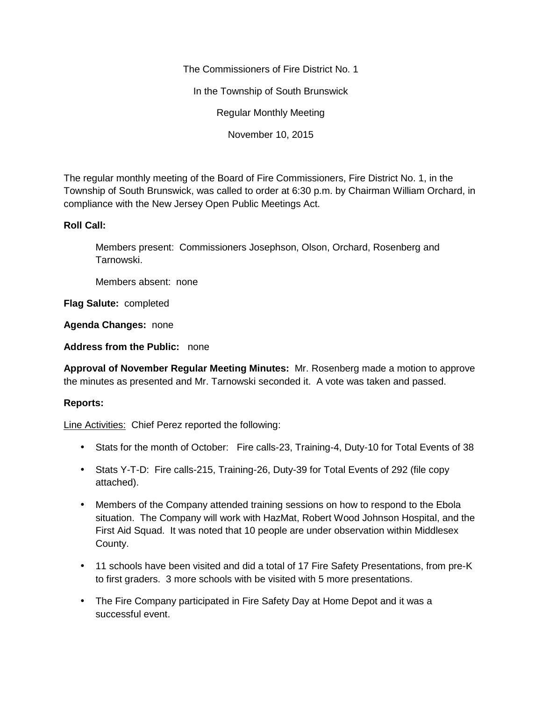The Commissioners of Fire District No. 1

In the Township of South Brunswick

Regular Monthly Meeting

November 10, 2015

The regular monthly meeting of the Board of Fire Commissioners, Fire District No. 1, in the Township of South Brunswick, was called to order at 6:30 p.m. by Chairman William Orchard, in compliance with the New Jersey Open Public Meetings Act.

# **Roll Call:**

Members present: Commissioners Josephson, Olson, Orchard, Rosenberg and Tarnowski.

Members absent: none

**Flag Salute:** completed

**Agenda Changes:** none

**Address from the Public:** none

**Approval of November Regular Meeting Minutes:** Mr. Rosenberg made a motion to approve the minutes as presented and Mr. Tarnowski seconded it. A vote was taken and passed.

## **Reports:**

Line Activities: Chief Perez reported the following:

- Stats for the month of October: Fire calls-23, Training-4, Duty-10 for Total Events of 38
- Stats Y-T-D: Fire calls-215, Training-26, Duty-39 for Total Events of 292 (file copy attached).
- Members of the Company attended training sessions on how to respond to the Ebola situation. The Company will work with HazMat, Robert Wood Johnson Hospital, and the First Aid Squad. It was noted that 10 people are under observation within Middlesex County.
- 11 schools have been visited and did a total of 17 Fire Safety Presentations, from pre-K to first graders. 3 more schools with be visited with 5 more presentations.
- The Fire Company participated in Fire Safety Day at Home Depot and it was a successful event.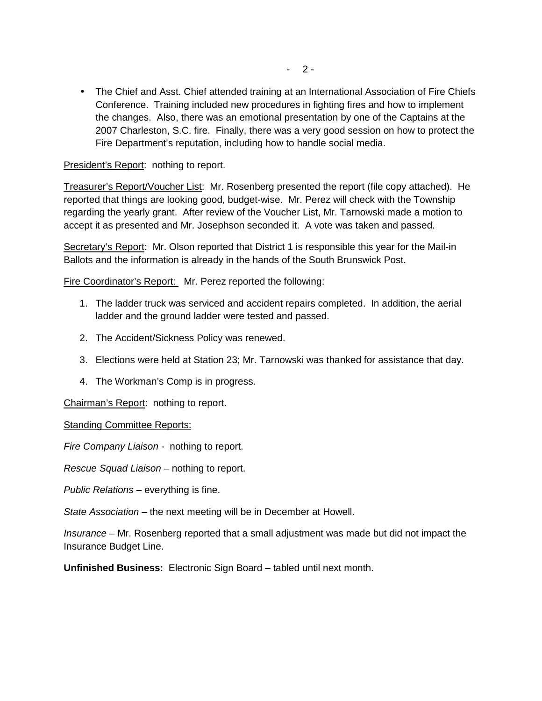• The Chief and Asst. Chief attended training at an International Association of Fire Chiefs Conference. Training included new procedures in fighting fires and how to implement the changes. Also, there was an emotional presentation by one of the Captains at the 2007 Charleston, S.C. fire. Finally, there was a very good session on how to protect the Fire Department's reputation, including how to handle social media.

## President's Report: nothing to report.

Treasurer's Report/Voucher List: Mr. Rosenberg presented the report (file copy attached). He reported that things are looking good, budget-wise. Mr. Perez will check with the Township regarding the yearly grant. After review of the Voucher List, Mr. Tarnowski made a motion to accept it as presented and Mr. Josephson seconded it. A vote was taken and passed.

Secretary's Report: Mr. Olson reported that District 1 is responsible this year for the Mail-in Ballots and the information is already in the hands of the South Brunswick Post.

Fire Coordinator's Report: Mr. Perez reported the following:

- 1. The ladder truck was serviced and accident repairs completed. In addition, the aerial ladder and the ground ladder were tested and passed.
- 2. The Accident/Sickness Policy was renewed.
- 3. Elections were held at Station 23; Mr. Tarnowski was thanked for assistance that day.
- 4. The Workman's Comp is in progress.

Chairman's Report: nothing to report.

### Standing Committee Reports:

*Fire Company Liaison -* nothing to report.

*Rescue Squad Liaison –* nothing to report.

*Public Relations –* everything is fine.

*State Association –* the next meeting will be in December at Howell.

*Insurance –* Mr. Rosenberg reported that a small adjustment was made but did not impact the Insurance Budget Line.

**Unfinished Business:** Electronic Sign Board – tabled until next month.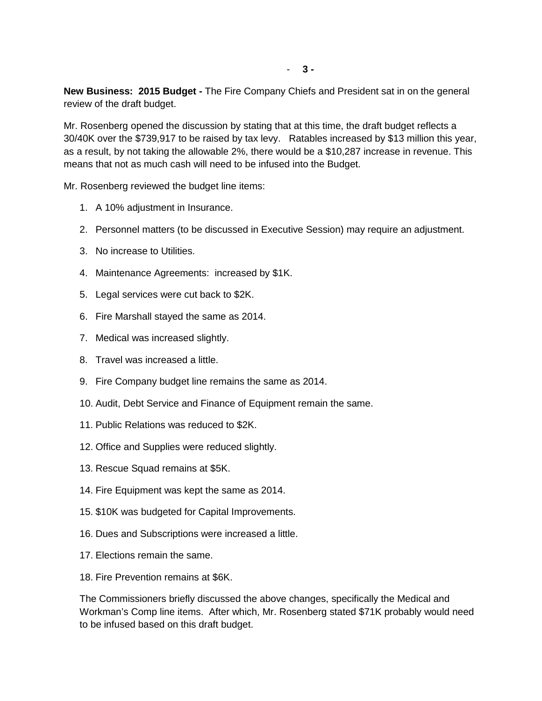**New Business: 2015 Budget -** The Fire Company Chiefs and President sat in on the general review of the draft budget.

Mr. Rosenberg opened the discussion by stating that at this time, the draft budget reflects a 30/40K over the \$739,917 to be raised by tax levy. Ratables increased by \$13 million this year, as a result, by not taking the allowable 2%, there would be a \$10,287 increase in revenue. This means that not as much cash will need to be infused into the Budget.

Mr. Rosenberg reviewed the budget line items:

- 1. A 10% adjustment in Insurance.
- 2. Personnel matters (to be discussed in Executive Session) may require an adjustment.
- 3. No increase to Utilities.
- 4. Maintenance Agreements: increased by \$1K.
- 5. Legal services were cut back to \$2K.
- 6. Fire Marshall stayed the same as 2014.
- 7. Medical was increased slightly.
- 8. Travel was increased a little.
- 9. Fire Company budget line remains the same as 2014.
- 10. Audit, Debt Service and Finance of Equipment remain the same.
- 11. Public Relations was reduced to \$2K.
- 12. Office and Supplies were reduced slightly.
- 13. Rescue Squad remains at \$5K.
- 14. Fire Equipment was kept the same as 2014.
- 15. \$10K was budgeted for Capital Improvements.
- 16. Dues and Subscriptions were increased a little.
- 17. Elections remain the same.
- 18. Fire Prevention remains at \$6K.

The Commissioners briefly discussed the above changes, specifically the Medical and Workman's Comp line items. After which, Mr. Rosenberg stated \$71K probably would need to be infused based on this draft budget.